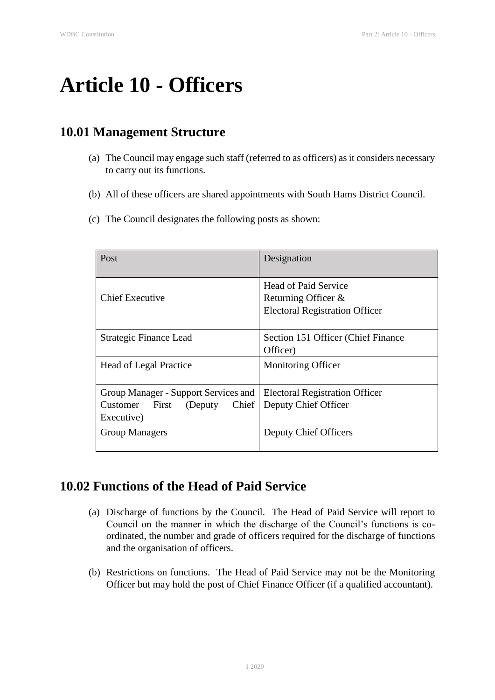# **Article 10 - Officers**

# **10.01 Management Structure**

- (a) The Council may engage such staff (referred to as officers) as it considers necessary to carry out its functions.
- (b) All of these officers are shared appointments with South Hams District Council.
- (c) The Council designates the following posts as shown:

| Post                                                                                | Designation                                                                          |
|-------------------------------------------------------------------------------------|--------------------------------------------------------------------------------------|
| Chief Executive                                                                     | Head of Paid Service<br>Returning Officer &<br><b>Electoral Registration Officer</b> |
| Strategic Finance Lead                                                              | Section 151 Officer (Chief Finance)<br>Officer)                                      |
| <b>Head of Legal Practice</b>                                                       | <b>Monitoring Officer</b>                                                            |
| Group Manager - Support Services and<br>First<br>Customer<br>(Deputy)<br>Executive) | <b>Electoral Registration Officer</b><br>Chief   Deputy Chief Officer                |
| <b>Group Managers</b>                                                               | Deputy Chief Officers                                                                |

### **10.02 Functions of the Head of Paid Service**

- (a) Discharge of functions by the Council. The Head of Paid Service will report to Council on the manner in which the discharge of the Council's functions is coordinated, the number and grade of officers required for the discharge of functions and the organisation of officers.
- (b) Restrictions on functions. The Head of Paid Service may not be the Monitoring Officer but may hold the post of Chief Finance Officer (if a qualified accountant).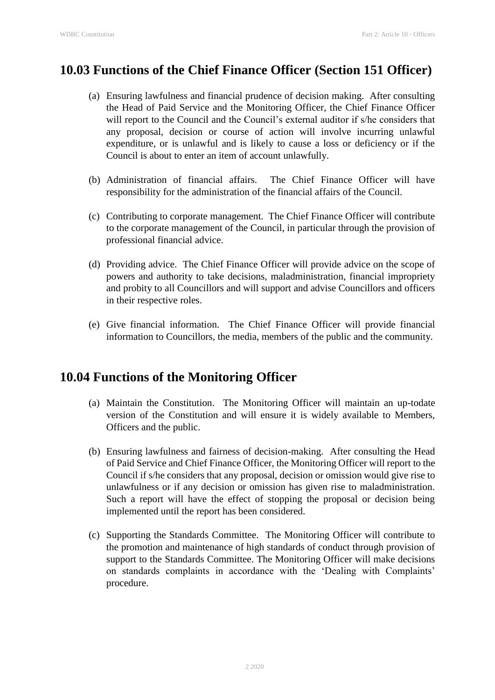# **10.03 Functions of the Chief Finance Officer (Section 151 Officer)**

- (a) Ensuring lawfulness and financial prudence of decision making. After consulting the Head of Paid Service and the Monitoring Officer, the Chief Finance Officer will report to the Council and the Council's external auditor if s/he considers that any proposal, decision or course of action will involve incurring unlawful expenditure, or is unlawful and is likely to cause a loss or deficiency or if the Council is about to enter an item of account unlawfully.
- (b) Administration of financial affairs. The Chief Finance Officer will have responsibility for the administration of the financial affairs of the Council.
- (c) Contributing to corporate management. The Chief Finance Officer will contribute to the corporate management of the Council, in particular through the provision of professional financial advice.
- (d) Providing advice. The Chief Finance Officer will provide advice on the scope of powers and authority to take decisions, maladministration, financial impropriety and probity to all Councillors and will support and advise Councillors and officers in their respective roles.
- (e) Give financial information. The Chief Finance Officer will provide financial information to Councillors, the media, members of the public and the community.

## **10.04 Functions of the Monitoring Officer**

- (a) Maintain the Constitution. The Monitoring Officer will maintain an up-todate version of the Constitution and will ensure it is widely available to Members, Officers and the public.
- (b) Ensuring lawfulness and fairness of decision-making. After consulting the Head of Paid Service and Chief Finance Officer, the Monitoring Officer will report to the Council if s/he considers that any proposal, decision or omission would give rise to unlawfulness or if any decision or omission has given rise to maladministration. Such a report will have the effect of stopping the proposal or decision being implemented until the report has been considered.
- (c) Supporting the Standards Committee. The Monitoring Officer will contribute to the promotion and maintenance of high standards of conduct through provision of support to the Standards Committee. The Monitoring Officer will make decisions on standards complaints in accordance with the 'Dealing with Complaints' procedure.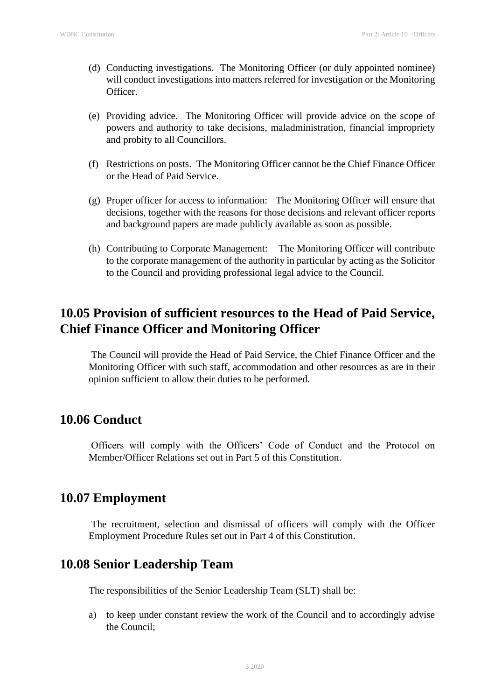- (d) Conducting investigations. The Monitoring Officer (or duly appointed nominee) will conduct investigations into matters referred for investigation or the Monitoring Officer.
- (e) Providing advice. The Monitoring Officer will provide advice on the scope of powers and authority to take decisions, maladministration, financial impropriety and probity to all Councillors.
- (f) Restrictions on posts. The Monitoring Officer cannot be the Chief Finance Officer or the Head of Paid Service.
- (g) Proper officer for access to information: The Monitoring Officer will ensure that decisions, together with the reasons for those decisions and relevant officer reports and background papers are made publicly available as soon as possible.
- (h) Contributing to Corporate Management: The Monitoring Officer will contribute to the corporate management of the authority in particular by acting as the Solicitor to the Council and providing professional legal advice to the Council.

# **10.05 Provision of sufficient resources to the Head of Paid Service, Chief Finance Officer and Monitoring Officer**

The Council will provide the Head of Paid Service, the Chief Finance Officer and the Monitoring Officer with such staff, accommodation and other resources as are in their opinion sufficient to allow their duties to be performed.

### **10.06 Conduct**

Officers will comply with the Officers' Code of Conduct and the Protocol on Member/Officer Relations set out in Part 5 of this Constitution.

### **10.07 Employment**

The recruitment, selection and dismissal of officers will comply with the Officer Employment Procedure Rules set out in Part 4 of this Constitution.

## **10.08 Senior Leadership Team**

The responsibilities of the Senior Leadership Team (SLT) shall be:

a) to keep under constant review the work of the Council and to accordingly advise the Council;